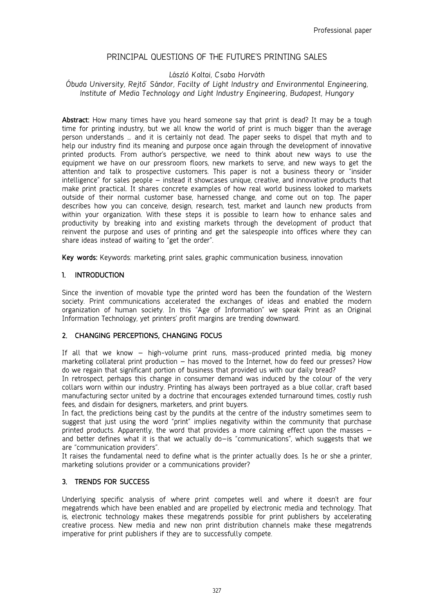# PRINCIPAL QUESTIONS OF THE FUTURE'S PRINTING SALES

# *László Koltai, Csaba Horváth*

# *Óbuda University, Rejtő Sándor, Facilty of Light Industry and Environmental Engineering, Institute of Media Technology and Light Industry Engineering, Budapest, Hungary*

**Abstract:** How many times have you heard someone say that print is dead? It may be a tough time for printing industry, but we all know the world of print is much bigger than the average person understands … and it is certainly not dead. The paper seeks to dispel that myth and to help our industry find its meaning and purpose once again through the development of innovative printed products. From author's perspective, we need to think about new ways to use the equipment we have on our pressroom floors, new markets to serve, and new ways to get the attention and talk to prospective customers. This paper is not a business theory or "insider intelligence" for sales people – instead it showcases unique, creative, and innovative products that make print practical. It shares concrete examples of how real world business looked to markets outside of their normal customer base, harnessed change, and come out on top. The paper describes how you can conceive, design, research, test, market and launch new products from within your organization. With these steps it is possible to learn how to enhance sales and productivity by breaking into and existing markets through the development of product that reinvent the purpose and uses of printing and get the salespeople into offices where they can share ideas instead of waiting to "get the order".

**Key words:** Keywords: marketing, print sales, graphic communication business, innovation

#### **1. INTRODUCTION**

Since the invention of movable type the printed word has been the foundation of the Western society. Print communications accelerated the exchanges of ideas and enabled the modern organization of human society. In this "Age of Information" we speak Print as an Original Information Technology, yet printers' profit margins are trending downward.

#### **2. CHANGING PERCEPTIONS, CHANGING FOCUS**

If all that we know – high-volume print runs, mass-produced printed media, big money marketing collateral print production – has moved to the Internet, how do feed our presses? How do we regain that significant portion of business that provided us with our daily bread?

In retrospect, perhaps this change in consumer demand was induced by the colour of the very collars worn within our industry. Printing has always been portrayed as a blue collar, craft based manufacturing sector united by a doctrine that encourages extended turnaround times, costly rush fees, and disdain for designers, marketers, and print buyers.

In fact, the predictions being cast by the pundits at the centre of the industry sometimes seem to suggest that just using the word "print" implies negativity within the community that purchase printed products. Apparently, the word that provides a more calming effect upon the masses – and better defines what it is that we actually do–is "communications", which suggests that we are "communication providers".

It raises the fundamental need to define what is the printer actually does. Is he or she a printer, marketing solutions provider or a communications provider?

# **3. TRENDS FOR SUCCESS**

Underlying specific analysis of where print competes well and where it doesn't are four megatrends which have been enabled and are propelled by electronic media and technology. That is, electronic technology makes these megatrends possible for print publishers by accelerating creative process. New media and new non print distribution channels make these megatrends imperative for print publishers if they are to successfully compete.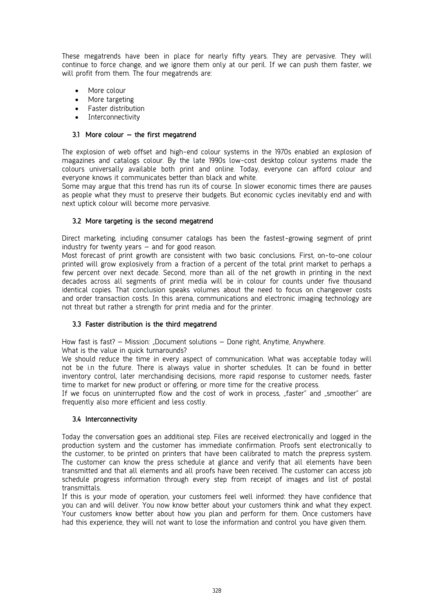These megatrends have been in place for nearly fifty years. They are pervasive. They will continue to force change, and we ignore them only at our peril. If we can push them faster, we will profit from them. The four megatrends are:

- More colour
- More targeting
- Faster distribution
- Interconnectivity

### **3.1 More colour – the first megatrend**

The explosion of web offset and high-end colour systems in the 1970s enabled an explosion of magazines and catalogs colour. By the late 1990s low-cost desktop colour systems made the colours universally available both print and online. Today, everyone can afford colour and everyone knows it communicates better than black and white.

Some may argue that this trend has run its of course. In slower economic times there are pauses as people what they must to preserve their budgets. But economic cycles inevitably end and with next uptick colour will become more pervasive.

#### **3.2 More targeting is the second megatrend**

Direct marketing, including consumer catalogs has been the fastest-growing segment of print industry for twenty years – and for good reason.

Most forecast of print growth are consistent with two basic conclusions. First, on-to-one colour printed will grow explosively from a fraction of a percent of the total print market to perhaps a few percent over next decade. Second, more than all of the net growth in printing in the next decades across all segments of print media will be in colour for counts under five thousand identical copies. That conclusion speaks volumes about the need to focus on changeover costs and order transaction costs. In this arena, communications and electronic imaging technology are not threat but rather a strength for print media and for the printer.

# **3.3 Faster distribution is the third megatrend**

How fast is fast? – Mission: "Document solutions – Done right, Anytime, Anywhere.

What is the value in quick turnarounds?

We should reduce the time in every aspect of communication. What was acceptable today will not be i.n the future. There is always value in shorter schedules. It can be found in better inventory control, later merchandising decisions, more rapid response to customer needs, faster time to market for new product or offering, or more time for the creative process.

If we focus on uninterrupted flow and the cost of work in process, "faster" and "smoother" are frequently also more efficient and less costly.

# **3.4 Interconnectivity**

Today the conversation goes an additional step. Files are received electronically and logged in the production system and the customer has immediate confirmation. Proofs sent electronically to the customer, to be printed on printers that have been calibrated to match the prepress system. The customer can know the press schedule at glance and verify that all elements have been transmitted and that all elements and all proofs have been received. The customer can access job schedule progress information through every step from receipt of images and list of postal transmittals.

If this is your mode of operation, your customers feel well informed: they have confidence that you can and will deliver. You now know better about your customers think and what they expect. Your customers know better about how you plan and perform for them. Once customers have had this experience, they will not want to lose the information and control you have given them.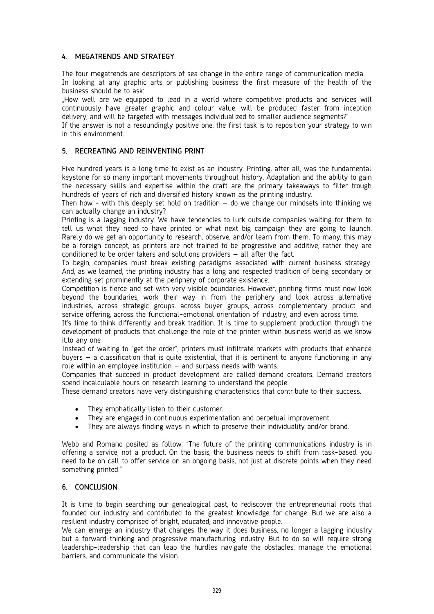# **4. MEGATRENDS AND STRATEGY**

The four megatrends are descriptors of sea change in the entire range of communication media. In looking at any graphic arts or publishing business the first measure of the health of the business should be to ask:

"How well are we equipped to lead in a world where competitive products and services will continuously have greater graphic and colour value, will be produced faster from inception delivery, and will be targeted with messages individualized to smaller audience segments?"

If the answer is not a resoundingly positive one, the first task is to reposition your strategy to win in this environment.

# **5. RECREATING AND REINVENTING PRINT**

Five hundred years is a long time to exist as an industry. Printing, after all, was the fundamental keystone for so many important movements throughout history. Adaptation and the ability to gain the necessary skills and expertise within the craft are the primary takeaways to filter trough hundreds of years of rich and diversified history known as the printing industry.

Then how - with this deeply set hold on tradition  $-$  do we change our mindsets into thinking we can actually change an industry?

Printing is a lagging industry. We have tendencies to lurk outside companies waiting for them to tell us what they need to have printed or what next big campaign they are going to launch. Rarely do we get an opportunity to research, observe, and/or learn from them. To many, this may be a foreign concept, as printers are not trained to be progressive and additive, rather they are conditioned to be order takers and solutions providers – all after the fact.

To begin, companies must break existing paradigms associated with current business strategy. And, as we learned, the printing industry has a long and respected tradition of being secondary or extending set prominently at the periphery of corporate existence.

Competition is fierce and set with very visible boundaries. However, printing firms must now look beyond the boundaries, work their way in from the periphery and look across alternative industries, across strategic groups, across buyer groups, across complementary product and service offering, across the functional-emotional orientation of industry, and even across time.

It's time to think differently and break tradition. It is time to supplement production through the development of products that challenge the role of the printer within business world as we know it.to any one

Instead of waiting to "get the order", printers must infiltrate markets with products that enhance buyers – a classification that is quite existential, that it is pertinent to anyone functioning in any role within an employee institution – and surpass needs with wants.

Companies that succeed in product development are called demand creators. Demand creators spend incalculable hours on research learning to understand the people.

These demand creators have very distinguishing characteristics that contribute to their success.

- They emphatically listen to their customer.
- They are engaged in continuous experimentation and perpetual improvement.
- They are always finding ways in which to preserve their individuality and/or brand.

Webb and Romano posited as follow: "The future of the printing communications industry is in offering a service, not a product. On the basis, the business needs to shift from task-based. you need to be on call to offer service on an ongoing basis, not just at discrete points when they need something printed."

# **6. CONCLUSION**

It is time to begin searching our genealogical past, to rediscover the entrepreneurial roots that founded our industry and contributed to the greatest knowledge for change. But we are also a resilient industry comprised of bright, educated, and innovative people.

We can emerge an industry that changes the way it does business, no longer a lagging industry but a forward-thinking and progressive manufacturing industry. But to do so will require strong leadership-leadership that can leap the hurdles navigate the obstacles, manage the emotional barriers, and communicate the vision.